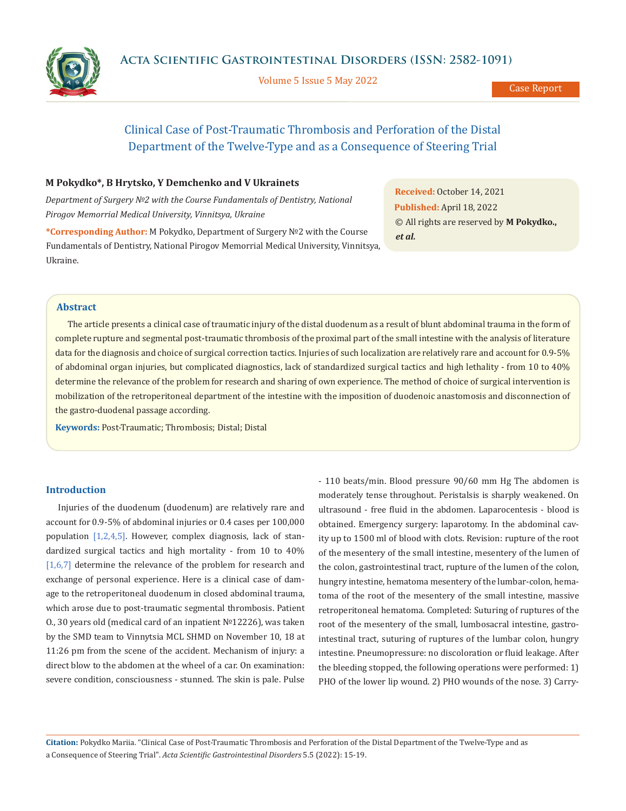Volume 5 Issue 5 May 2022



# Clinical Case of Post-Traumatic Thrombosis and Perforation of the Distal Department of the Twelve-Type and as a Consequence of Steering Trial

## **M Pokydko\*, B Hrytsko, Y Demchenko and V Ukrainets**

*Department of Surgery №2 with the Course Fundamentals of Dentistry, National Pirogov Memorrial Medical University, Vinnitsya, Ukraine*

**\*Corresponding Author:** M Pokydko, Department of Surgery №2 with the Course Fundamentals of Dentistry, National Pirogov Memorrial Medical University, Vinnitsya, Ukraine.

**Received:** October 14, 2021 **Published:** April 18, 2022 © All rights are reserved by **M Pokydko.,**  *et al.*

## **Abstract**

The article presents a clinical case of traumatic injury of the distal duodenum as a result of blunt abdominal trauma in the form of complete rupture and segmental post-traumatic thrombosis of the proximal part of the small intestine with the analysis of literature data for the diagnosis and choice of surgical correction tactics. Injuries of such localization are relatively rare and account for 0.9-5% of abdominal organ injuries, but complicated diagnostics, lack of standardized surgical tactics and high lethality - from 10 to 40% determine the relevance of the problem for research and sharing of own experience. The method of choice of surgical intervention is mobilization of the retroperitoneal department of the intestine with the imposition of duodenoic anastomosis and disconnection of the gastro-duodenal passage according.

**Keywords:** Post-Traumatic; Thrombosis; Distal; Distal

## **Introduction**

Injuries of the duodenum (duodenum) are relatively rare and account for 0.9-5% of abdominal injuries or 0.4 cases per 100,000 population  $[1,2,4,5]$ . However, complex diagnosis, lack of standardized surgical tactics and high mortality - from 10 to 40%  $[1,6,7]$  determine the relevance of the problem for research and exchange of personal experience. Here is a clinical case of damage to the retroperitoneal duodenum in closed abdominal trauma, which arose due to post-traumatic segmental thrombosis. Patient O., 30 years old (medical card of an inpatient №12226), was taken by the SMD team to Vinnytsia MCL SHMD on November 10, 18 at 11:26 pm from the scene of the accident. Mechanism of injury: a direct blow to the abdomen at the wheel of a car. On examination: severe condition, consciousness - stunned. The skin is pale. Pulse - 110 beats/min. Blood pressure 90/60 mm Hg The abdomen is moderately tense throughout. Peristalsis is sharply weakened. On ultrasound - free fluid in the abdomen. Laparocentesis - blood is obtained. Emergency surgery: laparotomy. In the abdominal cavity up to 1500 ml of blood with clots. Revision: rupture of the root of the mesentery of the small intestine, mesentery of the lumen of the colon, gastrointestinal tract, rupture of the lumen of the colon, hungry intestine, hematoma mesentery of the lumbar-colon, hematoma of the root of the mesentery of the small intestine, massive retroperitoneal hematoma. Completed: Suturing of ruptures of the root of the mesentery of the small, lumbosacral intestine, gastrointestinal tract, suturing of ruptures of the lumbar colon, hungry intestine. Pneumopressure: no discoloration or fluid leakage. After the bleeding stopped, the following operations were performed: 1) PHO of the lower lip wound. 2) PHO wounds of the nose. 3) Carry-

**Citation:** Pokydko Mariia*.* "Clinical Case of Post-Traumatic Thrombosis and Perforation of the Distal Department of the Twelve-Type and as a Consequence of Steering Trial". *Acta Scientific Gastrointestinal Disorders* 5.5 (2022): 15-19.

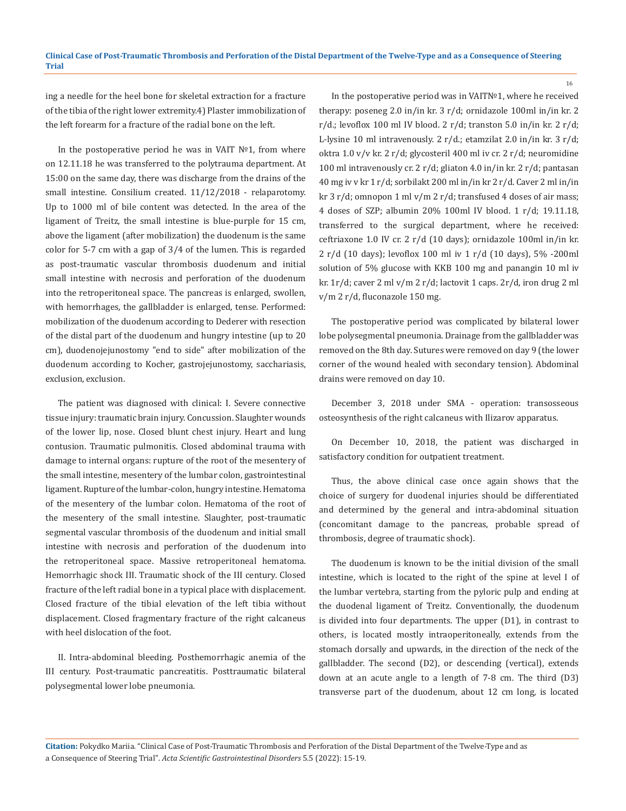ing a needle for the heel bone for skeletal extraction for a fracture of the tibia of the right lower extremity.4) Plaster immobilization of the left forearm for a fracture of the radial bone on the left.

In the postoperative period he was in VAIT №1, from where on 12.11.18 he was transferred to the polytrauma department. At 15:00 on the same day, there was discharge from the drains of the small intestine. Consilium created. 11/12/2018 - relaparotomy. Up to 1000 ml of bile content was detected. In the area of the ligament of Treitz, the small intestine is blue-purple for 15 cm, above the ligament (after mobilization) the duodenum is the same color for 5-7 cm with a gap of 3/4 of the lumen. This is regarded as post-traumatic vascular thrombosis duodenum and initial small intestine with necrosis and perforation of the duodenum into the retroperitoneal space. The pancreas is enlarged, swollen, with hemorrhages, the gallbladder is enlarged, tense. Performed: mobilization of the duodenum according to Dederer with resection of the distal part of the duodenum and hungry intestine (up to 20 cm), duodenojejunostomy "end to side" after mobilization of the duodenum according to Kocher, gastrojejunostomy, sacchariasis, exclusion, exclusion.

The patient was diagnosed with clinical: I. Severe connective tissue injury: traumatic brain injury. Concussion. Slaughter wounds of the lower lip, nose. Closed blunt chest injury. Heart and lung contusion. Traumatic pulmonitis. Closed abdominal trauma with damage to internal organs: rupture of the root of the mesentery of the small intestine, mesentery of the lumbar colon, gastrointestinal ligament. Rupture of the lumbar-colon, hungry intestine. Hematoma of the mesentery of the lumbar colon. Hematoma of the root of the mesentery of the small intestine. Slaughter, post-traumatic segmental vascular thrombosis of the duodenum and initial small intestine with necrosis and perforation of the duodenum into the retroperitoneal space. Massive retroperitoneal hematoma. Hemorrhagic shock III. Traumatic shock of the III century. Closed fracture of the left radial bone in a typical place with displacement. Closed fracture of the tibial elevation of the left tibia without displacement. Closed fragmentary fracture of the right calcaneus with heel dislocation of the foot.

ІІ. Intra-abdominal bleeding. Posthemorrhagic anemia of the III century. Post-traumatic pancreatitis. Posttraumatic bilateral polysegmental lower lobe pneumonia.

In the postoperative period was in VAIT№1, where he received therapy: poseneg 2.0 in/in kr. 3 r/d; ornidazole 100ml in/in kr. 2  $r/d$ .; levoflox 100 ml IV blood. 2  $r/d$ ; transton 5.0 in/in kr. 2  $r/d$ ; L-lysine 10 ml intravenously. 2 r/d.; etamzilat 2.0 in/in kr. 3 r/d; oktra 1.0 v/v kr. 2 r/d; glycosteril 400 ml iv cr. 2 r/d; neuromidine 100 ml intravenously cr. 2 r/d; gliaton 4.0 in/in kr. 2 r/d; pantasan 40 mg iv v kr 1 r/d; sorbilakt 200 ml in/in kr 2 r/d. Caver 2 ml in/in kr 3 r/d; omnopon 1 ml v/m 2 r/d; transfused 4 doses of air mass; 4 doses of SZP; albumin 20% 100ml IV blood. 1 r/d; 19.11.18, transferred to the surgical department, where he received: ceftriaxone 1.0 IV cr. 2 r/d (10 days); ornidazole 100ml in/in kr. 2 r/d (10 days); levoflox 100 ml iv 1 r/d (10 days), 5% -200ml solution of 5% glucose with KKB 100 mg and panangin 10 ml iv kr. 1r/d; caver 2 ml v/m 2 r/d; lactovit 1 caps. 2r/d, iron drug 2 ml v/m 2 r/d, fluconazole 150 mg.

The postoperative period was complicated by bilateral lower lobe polysegmental pneumonia. Drainage from the gallbladder was removed on the 8th day. Sutures were removed on day 9 (the lower corner of the wound healed with secondary tension). Abdominal drains were removed on day 10.

December 3, 2018 under SMA - operation: transosseous osteosynthesis of the right calcaneus with Ilizarov apparatus.

On December 10, 2018, the patient was discharged in satisfactory condition for outpatient treatment.

Thus, the above clinical case once again shows that the choice of surgery for duodenal injuries should be differentiated and determined by the general and intra-abdominal situation (concomitant damage to the pancreas, probable spread of thrombosis, degree of traumatic shock).

The duodenum is known to be the initial division of the small intestine, which is located to the right of the spine at level I of the lumbar vertebra, starting from the pyloric pulp and ending at the duodenal ligament of Treitz. Conventionally, the duodenum is divided into four departments. The upper (D1), in contrast to others, is located mostly intraoperitoneally, extends from the stomach dorsally and upwards, in the direction of the neck of the gallbladder. The second (D2), or descending (vertical), extends down at an acute angle to a length of 7-8 cm. The third (D3) transverse part of the duodenum, about 12 cm long, is located

**Citation:** Pokydko Mariia*.* "Clinical Case of Post-Traumatic Thrombosis and Perforation of the Distal Department of the Twelve-Type and as a Consequence of Steering Trial". *Acta Scientific Gastrointestinal Disorders* 5.5 (2022): 15-19.

16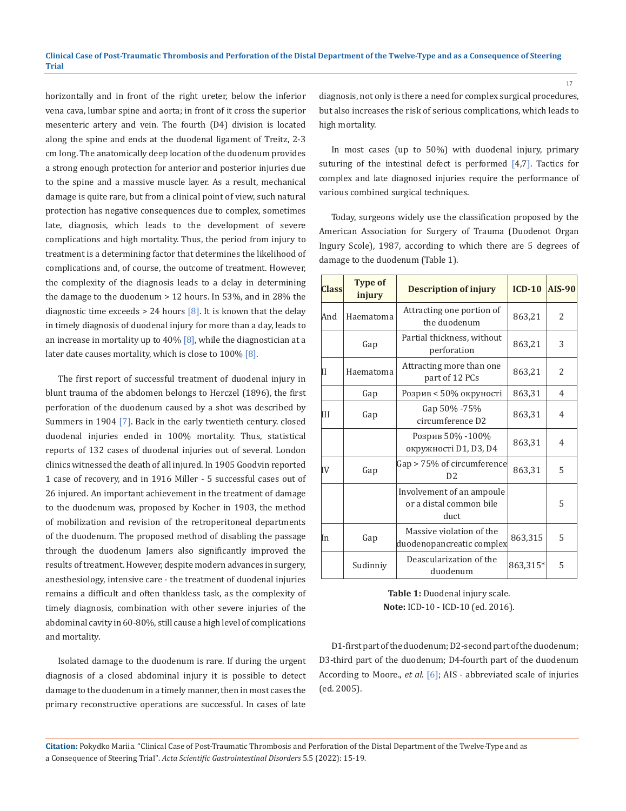horizontally and in front of the right ureter, below the inferior vena cava, lumbar spine and aorta; in front of it cross the superior mesenteric artery and vein. The fourth (D4) division is located along the spine and ends at the duodenal ligament of Treitz, 2-3 cm long. The anatomically deep location of the duodenum provides a strong enough protection for anterior and posterior injuries due to the spine and a massive muscle layer. As a result, mechanical damage is quite rare, but from a clinical point of view, such natural protection has negative consequences due to complex, sometimes late, diagnosis, which leads to the development of severe complications and high mortality. Thus, the period from injury to treatment is a determining factor that determines the likelihood of complications and, of course, the outcome of treatment. However, the complexity of the diagnosis leads to a delay in determining the damage to the duodenum > 12 hours. In 53%, and in 28% the diagnostic time exceeds  $> 24$  hours [8]. It is known that the delay in timely diagnosis of duodenal injury for more than a day, leads to an increase in mortality up to  $40\%$  [8], while the diagnostician at a later date causes mortality, which is close to 100% [8].

The first report of successful treatment of duodenal injury in blunt trauma of the abdomen belongs to Herczel (1896), the first perforation of the duodenum caused by a shot was described by Summers in 1904 [7]. Back in the early twentieth century. closed duodenal injuries ended in 100% mortality. Thus, statistical reports of 132 cases of duodenal injuries out of several. London clinics witnessed the death of all injured. In 1905 Goodvin reported 1 case of recovery, and in 1916 Miller - 5 successful cases out of 26 injured. An important achievement in the treatment of damage to the duodenum was, proposed by Kocher in 1903, the method of mobilization and revision of the retroperitoneal departments of the duodenum. The proposed method of disabling the passage through the duodenum Jamers also significantly improved the results of treatment. However, despite modern advances in surgery, anesthesiology, intensive care - the treatment of duodenal injuries remains a difficult and often thankless task, as the complexity of timely diagnosis, combination with other severe injuries of the abdominal cavity in 60-80%, still cause a high level of complications and mortality.

Isolated damage to the duodenum is rare. If during the urgent diagnosis of a closed abdominal injury it is possible to detect damage to the duodenum in a timely manner, then in most cases the primary reconstructive operations are successful. In cases of late diagnosis, not only is there a need for complex surgical procedures, but also increases the risk of serious complications, which leads to high mortality.

In most cases (up to 50%) with duodenal injury, primary suturing of the intestinal defect is performed [4,7]. Tactics for complex and late diagnosed injuries require the performance of various combined surgical techniques.

Today, surgeons widely use the classification proposed by the American Association for Surgery of Trauma (Duodenot Organ Ingury Scole), 1987, according to which there are 5 degrees of damage to the duodenum (Table 1).

| <b>Class</b> | <b>Type of</b><br>injury | <b>Description of injury</b>                                 | $ICD-10$ | $AIS-90$       |
|--------------|--------------------------|--------------------------------------------------------------|----------|----------------|
| And          | Haematoma                | Attracting one portion of<br>the duodenum                    | 863,21   | 2              |
|              | Gap                      | Partial thickness, without<br>perforation                    | 863,21   | 3              |
| П            | Haematoma                | Attracting more than one<br>part of 12 PCs                   | 863,21   | $\overline{2}$ |
|              | Gap                      | Розрив < 50% окруності                                       | 863,31   | 4              |
| Ш            | Gap                      | Gap 50% -75%<br>circumference D2                             | 863,31   | 4              |
|              |                          | Розрив 50% -100%<br>окружності D1, D3, D4                    | 863,31   | 4              |
| IV           | Gap                      | Gap > 75% of circumference<br>D <sub>2</sub>                 | 863,31   | 5              |
|              |                          | Involvement of an ampoule<br>or a distal common bile<br>duct |          | 5              |
| In           | Gap                      | Massive violation of the<br>duodenopancreatic complex        | 863,315  | 5              |
|              | Sudinniy                 | Deascularization of the<br>duodenum                          | 863,315* | 5              |

**Table 1:** Duodenal injury scale. **Note:** ICD-10 - ICD-10 (ed. 2016).

D1-first part of the duodenum; D2-second part of the duodenum; D3-third part of the duodenum; D4-fourth part of the duodenum According to Moore., *et al*. [6]; AIS - abbreviated scale of injuries (ed. 2005).

**Citation:** Pokydko Mariia*.* "Clinical Case of Post-Traumatic Thrombosis and Perforation of the Distal Department of the Twelve-Type and as a Consequence of Steering Trial". *Acta Scientific Gastrointestinal Disorders* 5.5 (2022): 15-19.

17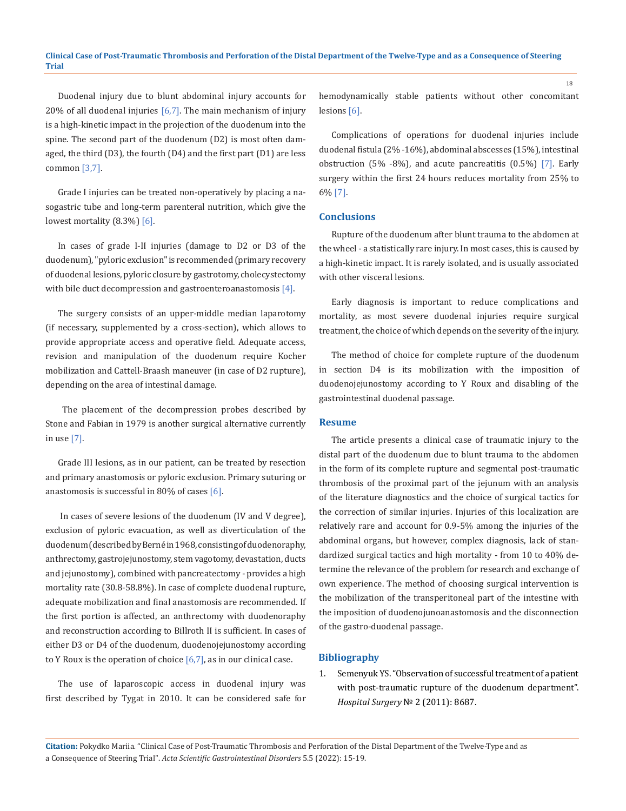Duodenal injury due to blunt abdominal injury accounts for 20% of all duodenal injuries  $[6,7]$ . The main mechanism of injury is a high-kinetic impact in the projection of the duodenum into the spine. The second part of the duodenum (D2) is most often damaged, the third (D3), the fourth (D4) and the first part (D1) are less common [3,7].

Grade I injuries can be treated non-operatively by placing a nasogastric tube and long-term parenteral nutrition, which give the lowest mortality (8.3%) [6].

In cases of grade I-II injuries (damage to D2 or D3 of the duodenum), "pyloric exclusion" is recommended (primary recovery of duodenal lesions, pyloric closure by gastrotomy, cholecystectomy with bile duct decompression and gastroenteroanastomosis  $[4]$ .

The surgery consists of an upper-middle median laparotomy (if necessary, supplemented by a cross-section), which allows to provide appropriate access and operative field. Adequate access, revision and manipulation of the duodenum require Kocher mobilization and Cattell-Braash maneuver (in case of D2 rupture), depending on the area of intestinal damage.

 The placement of the decompression probes described by Stone and Fabian in 1979 is another surgical alternative currently in use [7].

Grade III lesions, as in our patient, can be treated by resection and primary anastomosis or pyloric exclusion. Primary suturing or anastomosis is successful in 80% of cases [6].

 In cases of severe lesions of the duodenum (IV and V degree), exclusion of pyloric evacuation, as well as diverticulation of the duodenum (described by Berné in 1968, consisting of duodenoraphy, anthrectomy, gastrojejunostomy, stem vagotomy, devastation, ducts and jejunostomy), combined with pancreatectomy - provides a high mortality rate (30.8-58.8%). In case of complete duodenal rupture, adequate mobilization and final anastomosis are recommended. If the first portion is affected, an anthrectomy with duodenoraphy and reconstruction according to Billroth II is sufficient. In cases of either D3 or D4 of the duodenum, duodenojejunostomy according to Y Roux is the operation of choice  $[6,7]$ , as in our clinical case.

The use of laparoscopic access in duodenal injury was first described by Tygat in 2010. It can be considered safe for hemodynamically stable patients without other concomitant lesions [6].

Complications of operations for duodenal injuries include duodenal fistula (2% -16%), abdominal abscesses (15%), intestinal obstruction (5% -8%), and acute pancreatitis (0.5%) [7]. Early surgery within the first 24 hours reduces mortality from 25% to 6% [7].

#### **Conclusions**

Rupture of the duodenum after blunt trauma to the abdomen at the wheel - a statistically rare injury. In most cases, this is caused by a high-kinetic impact. It is rarely isolated, and is usually associated with other visceral lesions.

Early diagnosis is important to reduce complications and mortality, as most severe duodenal injuries require surgical treatment, the choice of which depends on the severity of the injury.

The method of choice for complete rupture of the duodenum in section D4 is its mobilization with the imposition of duodenojejunostomy according to Y Roux and disabling of the gastrointestinal duodenal passage.

#### **Resume**

The article presents a clinical case of traumatic injury to the distal part of the duodenum due to blunt trauma to the abdomen in the form of its complete rupture and segmental post-traumatic thrombosis of the proximal part of the jejunum with an analysis of the literature diagnostics and the choice of surgical tactics for the correction of similar injuries. Injuries of this localization are relatively rare and account for 0.9-5% among the injuries of the abdominal organs, but however, complex diagnosis, lack of standardized surgical tactics and high mortality - from 10 to 40% determine the relevance of the problem for research and exchange of own experience. The method of choosing surgical intervention is the mobilization of the transperitoneal part of the intestine with the imposition of duodenojunoanastomosis and the disconnection of the gastro-duodenal passage.

#### **Bibliography**

1. Semenyuk YS. "Observation of successful treatment of a patient with post-traumatic rupture of the duodenum department". *Hospital Surgery* № 2 (2011): 8687.

18

**Citation:** Pokydko Mariia*.* "Clinical Case of Post-Traumatic Thrombosis and Perforation of the Distal Department of the Twelve-Type and as a Consequence of Steering Trial". *Acta Scientific Gastrointestinal Disorders* 5.5 (2022): 15-19.